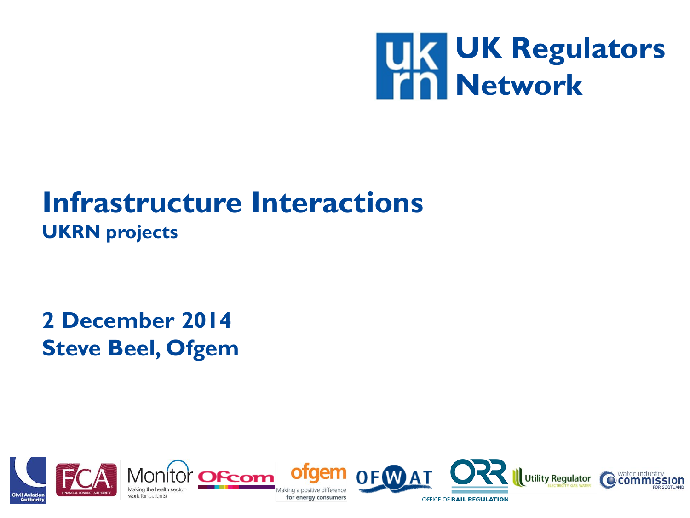

#### **Infrastructure Interactions UKRN projects**

**2 December 2014 Steve Beel, Ofgem**

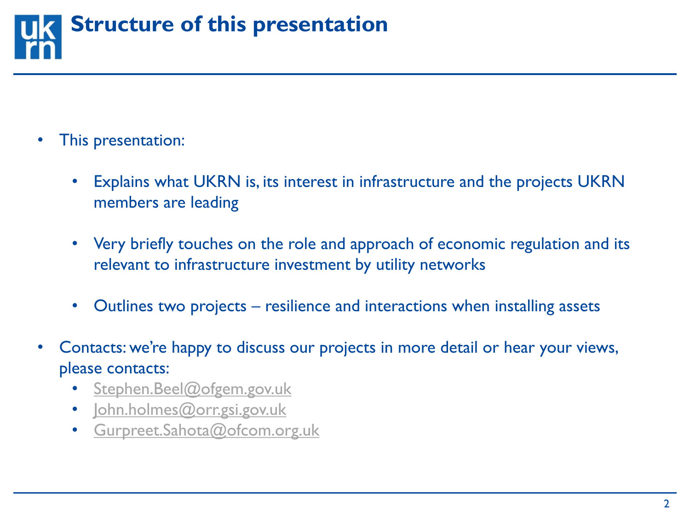

- This presentation:
	- Explains what UKRN is, its interest in infrastructure and the projects UKRN members are leading
	- Very briefly touches on the role and approach of economic regulation and its relevant to infrastructure investment by utility networks
	- Outlines two projects resilience and interactions when installing assets
- Contacts: we're happy to discuss our projects in more detail or hear your views, please contacts:
	- [Stephen.Beel@ofgem.gov.uk](mailto:Stephen.Beel@ofgem.gov.uk)
	- [John.holmes@orr.gsi.gov.uk](mailto:John.holmes@orr.gsi.gov.uk)
	- [Gurpreet.Sahota@ofcom.org.uk](mailto:Gurpreet.Sahota@ofcom.org.uk)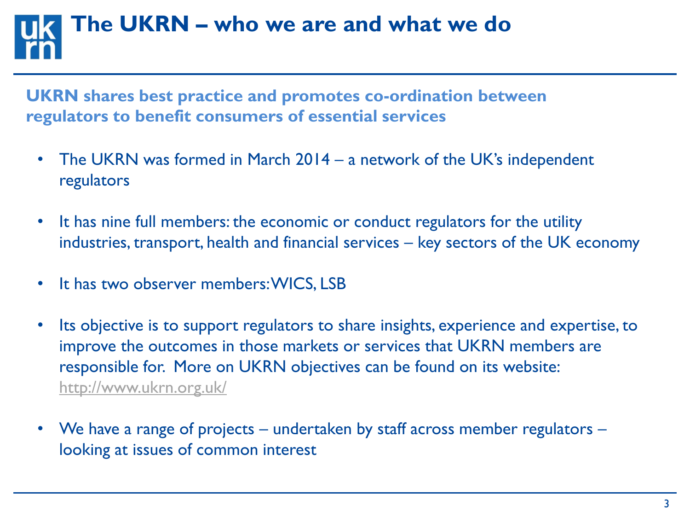## **The UKRN – who we are and what we do**

**UKRN shares best practice and promotes co-ordination between regulators to benefit consumers of essential services**

- The UKRN was formed in March 2014 a network of the UK's independent regulators
- It has nine full members: the economic or conduct regulators for the utility industries, transport, health and financial services – key sectors of the UK economy
- It has two observer members: WICS, LSB
- Its objective is to support regulators to share insights, experience and expertise, to improve the outcomes in those markets or services that UKRN members are responsible for. More on UKRN objectives can be found on its website: <http://www.ukrn.org.uk/>
- We have a range of projects undertaken by staff across member regulators looking at issues of common interest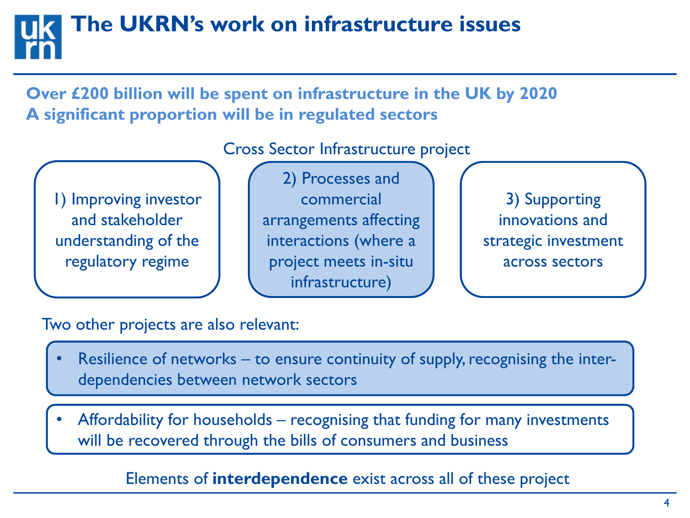## **The UKRN's work on infrastructure issues**

**Over £200 billion will be spent on infrastructure in the UK by 2020 A significant proportion will be in regulated sectors**

Cross Sector Infrastructure project

1) Improving investor and stakeholder understanding of the regulatory regime

2) Processes and commercial arrangements affecting interactions (where a project meets in-situ infrastructure)

3) Supporting innovations and strategic investment across sectors

Two other projects are also relevant:

- Resilience of networks to ensure continuity of supply, recognising the interdependencies between network sectors
- Affordability for households recognising that funding for many investments will be recovered through the bills of consumers and business

Elements of **interdependence** exist across all of these project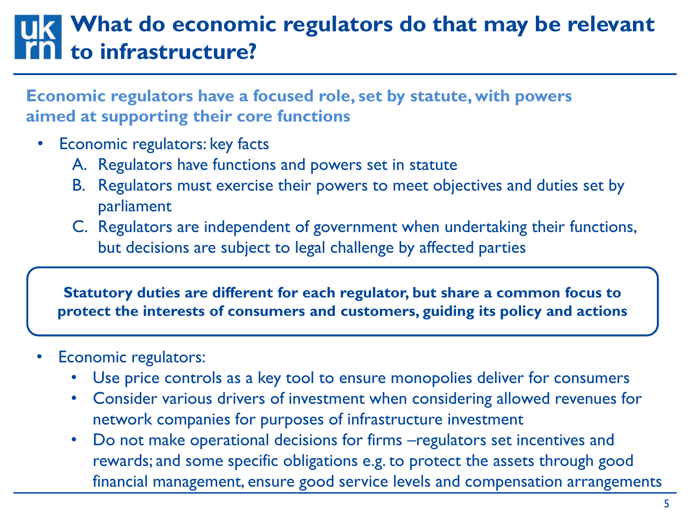#### **What do economic regulators do that may be relevant to infrastructure?**

**Economic regulators have a focused role, set by statute, with powers aimed at supporting their core functions**

- Economic regulators: key facts
	- A. Regulators have functions and powers set in statute
	- B. Regulators must exercise their powers to meet objectives and duties set by parliament
	- C. Regulators are independent of government when undertaking their functions, but decisions are subject to legal challenge by affected parties

**Statutory duties are different for each regulator, but share a common focus to protect the interests of consumers and customers, guiding its policy and actions**

- Economic regulators:
	- Use price controls as a key tool to ensure monopolies deliver for consumers
	- Consider various drivers of investment when considering allowed revenues for network companies for purposes of infrastructure investment
	- Do not make operational decisions for firms –regulators set incentives and rewards; and some specific obligations e.g. to protect the assets through good financial management, ensure good service levels and compensation arrangements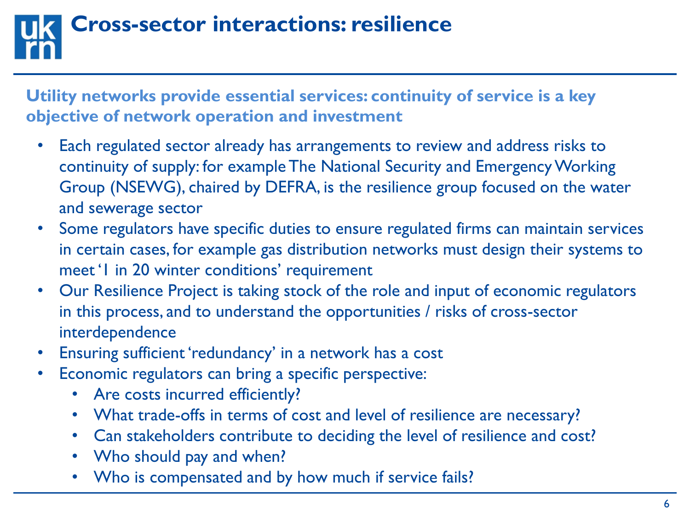## **Cross-sector interactions: resilience**

**Utility networks provide essential services: continuity of service is a key objective of network operation and investment**

- Each regulated sector already has arrangements to review and address risks to continuity of supply: for example The National Security and Emergency Working Group (NSEWG), chaired by DEFRA, is the resilience group focused on the water and sewerage sector
- Some regulators have specific duties to ensure regulated firms can maintain services in certain cases, for example gas distribution networks must design their systems to meet '1 in 20 winter conditions' requirement
- Our Resilience Project is taking stock of the role and input of economic regulators in this process, and to understand the opportunities / risks of cross-sector interdependence
- Ensuring sufficient 'redundancy' in a network has a cost
- Economic regulators can bring a specific perspective:
	- Are costs incurred efficiently?
	- What trade-offs in terms of cost and level of resilience are necessary?
	- Can stakeholders contribute to deciding the level of resilience and cost?
	- Who should pay and when?
	- Who is compensated and by how much if service fails?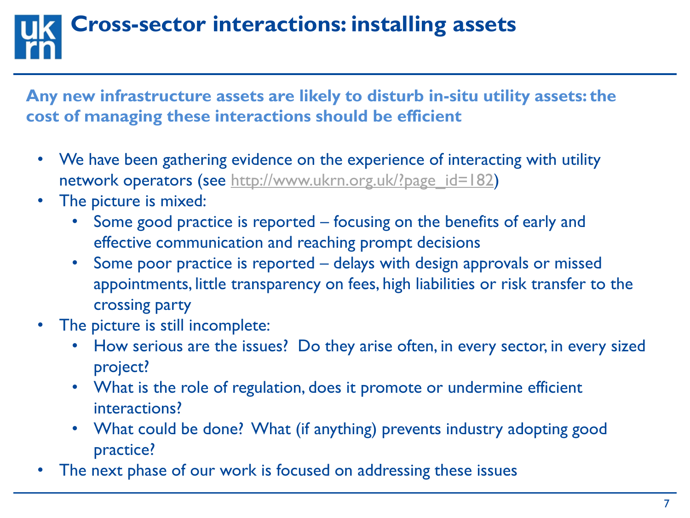## **Cross-sector interactions: installing assets**

**Any new infrastructure assets are likely to disturb in-situ utility assets: the cost of managing these interactions should be efficient**

- We have been gathering evidence on the experience of interacting with utility network operators (see [http://www.ukrn.org.uk/?page\\_id=182](http://www.ukrn.org.uk/?page_id=182))
- The picture is mixed:
	- Some good practice is reported focusing on the benefits of early and effective communication and reaching prompt decisions
	- Some poor practice is reported delays with design approvals or missed appointments, little transparency on fees, high liabilities or risk transfer to the crossing party
- The picture is still incomplete:
	- How serious are the issues? Do they arise often, in every sector, in every sized project?
	- What is the role of regulation, does it promote or undermine efficient interactions?
	- What could be done? What (if anything) prevents industry adopting good practice?
- The next phase of our work is focused on addressing these issues